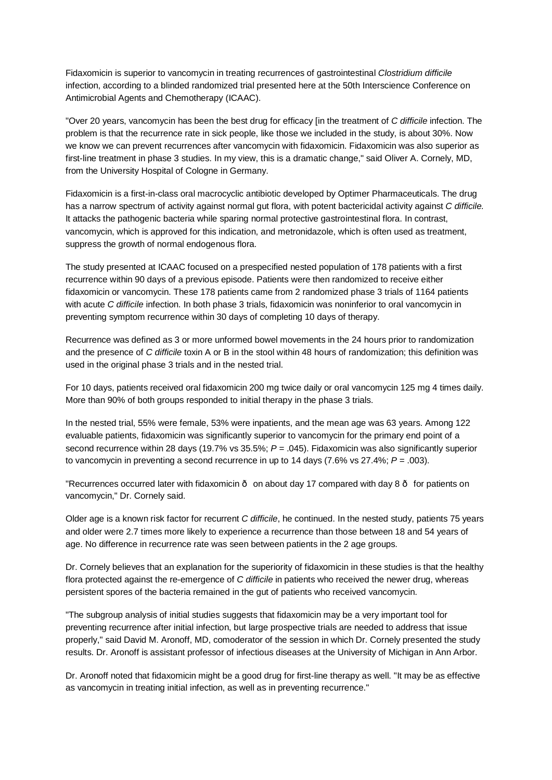Fidaxomicin is superior to vancomycin in treating recurrences of gastrointestinal *Clostridium difficile* infection, according to a blinded randomized trial presented here at the 50th Interscience Conference on Antimicrobial Agents and Chemotherapy (ICAAC).

"Over 20 years, vancomycin has been the best drug for efficacy [in the treatment of *C difficile* infection. The problem is that the recurrence rate in sick people, like those we included in the study, is about 30%. Now we know we can prevent recurrences after vancomycin with fidaxomicin. Fidaxomicin was also superior as first-line treatment in phase 3 studies. In my view, this is a dramatic change," said Oliver A. Cornely, MD, from the University Hospital of Cologne in Germany.

Fidaxomicin is a first-in-class oral macrocyclic antibiotic developed by Optimer Pharmaceuticals. The drug has a narrow spectrum of activity against normal gut flora, with potent bactericidal activity against *C difficile.*  It attacks the pathogenic bacteria while sparing normal protective gastrointestinal flora. In contrast, vancomycin, which is approved for this indication, and metronidazole, which is often used as treatment, suppress the growth of normal endogenous flora.

The study presented at ICAAC focused on a prespecified nested population of 178 patients with a first recurrence within 90 days of a previous episode. Patients were then randomized to receive either fidaxomicin or vancomycin. These 178 patients came from 2 randomized phase 3 trials of 1164 patients with acute *C difficile* infection. In both phase 3 trials, fidaxomicin was noninferior to oral vancomycin in preventing symptom recurrence within 30 days of completing 10 days of therapy.

Recurrence was defined as 3 or more unformed bowel movements in the 24 hours prior to randomization and the presence of *C difficile* toxin A or B in the stool within 48 hours of randomization; this definition was used in the original phase 3 trials and in the nested trial.

For 10 days, patients received oral fidaxomicin 200 mg twice daily or oral vancomycin 125 mg 4 times daily. More than 90% of both groups responded to initial therapy in the phase 3 trials.

In the nested trial, 55% were female, 53% were inpatients, and the mean age was 63 years. Among 122 evaluable patients, fidaxomicin was significantly superior to vancomycin for the primary end point of a second recurrence within 28 days (19.7% vs 35.5%; *P* = .045). Fidaxomicin was also significantly superior to vancomycin in preventing a second recurrence in up to 14 days (7.6% vs 27.4%; *P* = .003).

"Recurrences occurred later with fidaxomicin  $\cdot$  on about day 17 compared with day 8  $\cdot$  for patients on vancomycin," Dr. Cornely said.

Older age is a known risk factor for recurrent *C difficile*, he continued. In the nested study, patients 75 years and older were 2.7 times more likely to experience a recurrence than those between 18 and 54 years of age. No difference in recurrence rate was seen between patients in the 2 age groups.

Dr. Cornely believes that an explanation for the superiority of fidaxomicin in these studies is that the healthy flora protected against the re-emergence of *C difficile* in patients who received the newer drug, whereas persistent spores of the bacteria remained in the gut of patients who received vancomycin.

"The subgroup analysis of initial studies suggests that fidaxomicin may be a very important tool for preventing recurrence after initial infection, but large prospective trials are needed to address that issue properly," said David M. Aronoff, MD, comoderator of the session in which Dr. Cornely presented the study results. Dr. Aronoff is assistant professor of infectious diseases at the University of Michigan in Ann Arbor.

Dr. Aronoff noted that fidaxomicin might be a good drug for first-line therapy as well. "It may be as effective as vancomycin in treating initial infection, as well as in preventing recurrence."